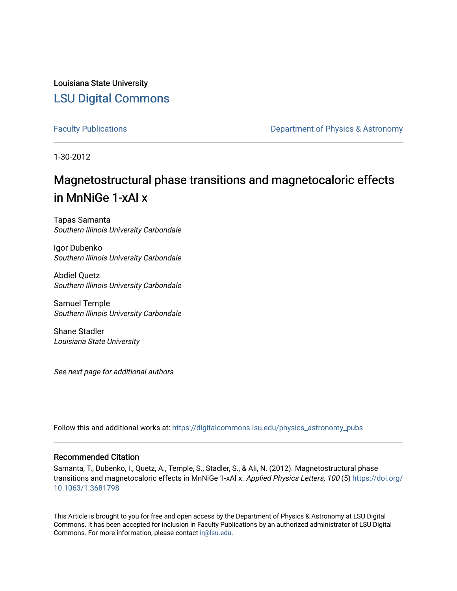Louisiana State University [LSU Digital Commons](https://digitalcommons.lsu.edu/)

[Faculty Publications](https://digitalcommons.lsu.edu/physics_astronomy_pubs) **Exercise 2 and Table 2 and Table 2 and Table 2 and Table 2 and Table 2 and Table 2 and Table 2 and Table 2 and Table 2 and Table 2 and Table 2 and Table 2 and Table 2 and Table 2 and Table 2 and Table** 

1-30-2012

# Magnetostructural phase transitions and magnetocaloric effects in MnNiGe 1-xAl x

Tapas Samanta Southern Illinois University Carbondale

Igor Dubenko Southern Illinois University Carbondale

Abdiel Quetz Southern Illinois University Carbondale

Samuel Temple Southern Illinois University Carbondale

Shane Stadler Louisiana State University

See next page for additional authors

Follow this and additional works at: [https://digitalcommons.lsu.edu/physics\\_astronomy\\_pubs](https://digitalcommons.lsu.edu/physics_astronomy_pubs?utm_source=digitalcommons.lsu.edu%2Fphysics_astronomy_pubs%2F5286&utm_medium=PDF&utm_campaign=PDFCoverPages) 

### Recommended Citation

Samanta, T., Dubenko, I., Quetz, A., Temple, S., Stadler, S., & Ali, N. (2012). Magnetostructural phase transitions and magnetocaloric effects in MnNiGe 1-xAl x. Applied Physics Letters, 100 (5) [https://doi.org/](https://doi.org/10.1063/1.3681798) [10.1063/1.3681798](https://doi.org/10.1063/1.3681798) 

This Article is brought to you for free and open access by the Department of Physics & Astronomy at LSU Digital Commons. It has been accepted for inclusion in Faculty Publications by an authorized administrator of LSU Digital Commons. For more information, please contact [ir@lsu.edu](mailto:ir@lsu.edu).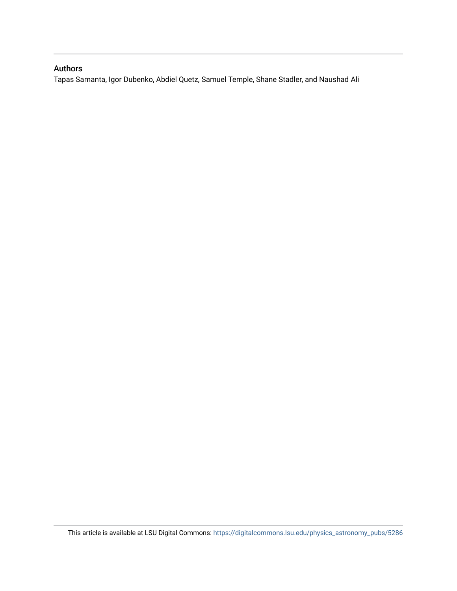## Authors

Tapas Samanta, Igor Dubenko, Abdiel Quetz, Samuel Temple, Shane Stadler, and Naushad Ali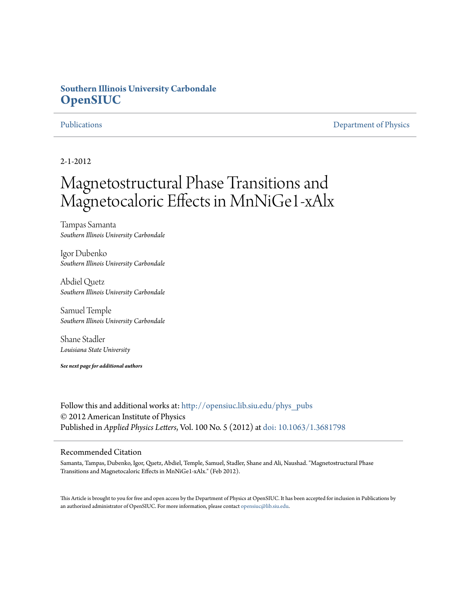# **Southern Illinois University Carbondale [OpenSIUC](http://opensiuc.lib.siu.edu?utm_source=opensiuc.lib.siu.edu%2Fphys_pubs%2F64&utm_medium=PDF&utm_campaign=PDFCoverPages)**

[Publications](http://opensiuc.lib.siu.edu/phys_pubs?utm_source=opensiuc.lib.siu.edu%2Fphys_pubs%2F64&utm_medium=PDF&utm_campaign=PDFCoverPages) [Department of Physics](http://opensiuc.lib.siu.edu/phys?utm_source=opensiuc.lib.siu.edu%2Fphys_pubs%2F64&utm_medium=PDF&utm_campaign=PDFCoverPages)

2-1-2012

# Magnetostructural Phase Transitions and Magnetocaloric Effects in MnNiGe1-xAlx

Tampas Samanta *Southern Illinois University Carbondale*

Igor Dubenko *Southern Illinois University Carbondale*

Abdiel Quetz *Southern Illinois University Carbondale*

Samuel Temple *Southern Illinois University Carbondale*

Shane Stadler *Louisiana State University*

*See next page for additional authors*

Follow this and additional works at: [http://opensiuc.lib.siu.edu/phys\\_pubs](http://opensiuc.lib.siu.edu/phys_pubs?utm_source=opensiuc.lib.siu.edu%2Fphys_pubs%2F64&utm_medium=PDF&utm_campaign=PDFCoverPages) © 2012 American Institute of Physics Published in *Applied Physics Letters*, Vol. 100 No. 5 (2012) at [doi: 10.1063/1.3681798](http://dx.doi.org/10.1063/1.3681798)

## Recommended Citation

Samanta, Tampas, Dubenko, Igor, Quetz, Abdiel, Temple, Samuel, Stadler, Shane and Ali, Naushad. "Magnetostructural Phase Transitions and Magnetocaloric Effects in MnNiGe1-xAlx." (Feb 2012).

This Article is brought to you for free and open access by the Department of Physics at OpenSIUC. It has been accepted for inclusion in Publications by an authorized administrator of OpenSIUC. For more information, please contact [opensiuc@lib.siu.edu.](mailto:opensiuc@lib.siu.edu)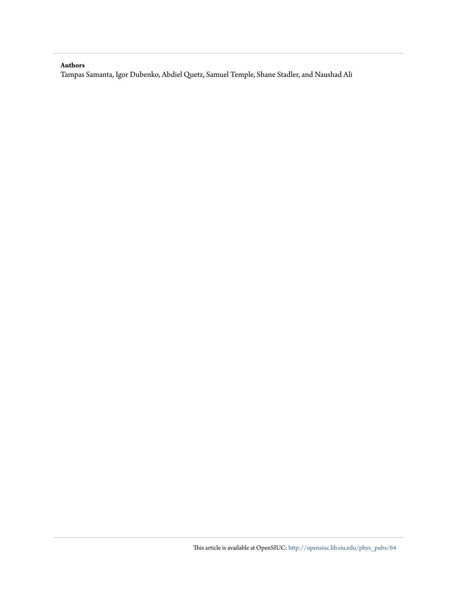### **Authors**

Tampas Samanta, Igor Dubenko, Abdiel Quetz, Samuel Temple, Shane Stadler, and Naushad Ali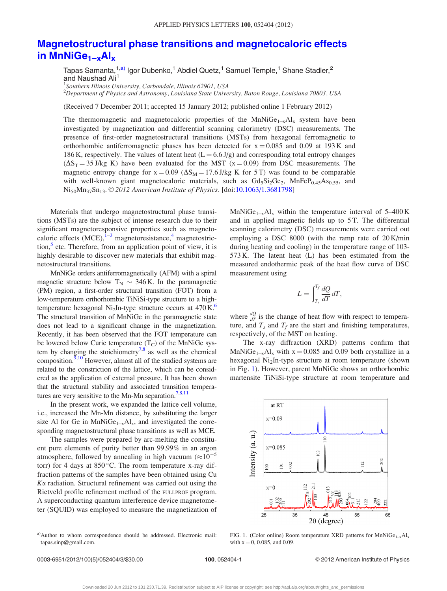## [Magnetostructural phase transitions and magnetocaloric effects](http://dx.doi.org/10.1063/1.3681798) in MnNi $Ge_{1-x}Al_x$

Tapas Samanta,<sup>1,a)</sup> Igor Dubenko,<sup>1</sup> Abdiel Quetz,<sup>1</sup> Samuel Temple,<sup>1</sup> Shane Stadler,<sup>2</sup> and Naushad Ali<sup>1</sup>

<sup>1</sup>Southern Illinois University, Carbondale, Illinois 62901, USA

 $^2$ Department of Physics and Astronomy, Louisiana State University, Baton Rouge, Louisiana 70803, USA

(Received 7 December 2011; accepted 15 January 2012; published online 1 February 2012)

The thermomagnetic and magnetocaloric properties of the  $MnNiGe<sub>1-x</sub>Al<sub>x</sub>$  system have been investigated by magnetization and differential scanning calorimetry (DSC) measurements. The presence of first-order magnetostructural transitions (MSTs) from hexagonal ferromagnetic to orthorhombic antiferromagnetic phases has been detected for  $x = 0.085$  and 0.09 at 193 K and 186 K, respectively. The values of latent heat  $(L = 6.6 \text{ J/g})$  and corresponding total entropy changes  $(\Delta S_T = 35 \text{ J/kg K})$  have been evaluated for the MST (x = 0.09) from DSC measurements. The magnetic entropy change for  $x = 0.09$  ( $\Delta S_M = 17.6$  J/kg K for 5 T) was found to be comparable with well-known giant magnetocaloric materials, such as  $Gd_5Si_2Ge_2$ ,  $MnFeP_{0.45}As_{0.55}$ , and Ni<sub>50</sub>Mn<sub>37</sub>Sn<sub>13</sub>. © 2012 American Institute of Physics. [doi:[10.1063/1.3681798](http://dx.doi.org/10.1063/1.3681798)]

Materials that undergo magnetostructural phase transitions (MSTs) are the subject of intense research due to their significant magnetoresponsive properties such as magnetocaloric effects  $(MCE)$ ,  $\bar{1}$ -3 magnetoresistance,<sup>[4](#page-6-0)</sup> magnetostriction, $5$  etc. Therefore, from an application point of view, it is highly desirable to discover new materials that exhibit magnetostructural transitions.

MnNiGe orders antiferromagnetically (AFM) with a spiral magnetic structure below  $T_N \sim 346$  K. In the paramagnetic (PM) region, a first-order structural transition (FOT) from a low-temperature orthorhombic TiNiSi-type structure to a hightemperature hexagonal Ni<sub>2</sub>In-type structure occurs at  $470 \text{ K}$ .<sup>6</sup> The structural transition of MnNiGe in the paramagnetic state does not lead to a significant change in the magnetization. Recently, it has been observed that the FOT temperature can be lowered below Curie temperature  $(T_C)$  of the MnNiGe system by changing the stoichiometry<sup>7,8</sup> as well as the chemical composition.<sup>9,10</sup> However, almost all of the studied systems are related to the constriction of the lattice, which can be considered as the application of external pressure. It has been shown that the structural stability and associated transition tempera-tures are very sensitive to the Mn-Mn separation.<sup>[7,8,11](#page-6-0)</sup>

In the present work, we expanded the lattice cell volume, i.e., increased the Mn-Mn distance, by substituting the larger size Al for Ge in  $MnNiGe<sub>1-x</sub>Al<sub>x</sub>$ , and investigated the corresponding magnetostructural phase transitions as well as MCE.

The samples were prepared by arc-melting the constituent pure elements of purity better than 99.99% in an argon atmosphere, followed by annealing in high vacuum  $(\approx 10^{-5}$ torr) for 4 days at  $850^{\circ}$ C. The room temperature x-ray diffraction patterns of the samples have been obtained using Cu  $K\alpha$  radiation. Structural refinement was carried out using the Rietveld profile refinement method of the FULLPROF program. A superconducting quantum interference device magnetometer (SQUID) was employed to measure the magnetization of

MnNi $Ge_{1-x}Al_x$  within the temperature interval of 5–400 K and in applied magnetic fields up to 5 T. The differential scanning calorimetry (DSC) measurements were carried out employing a DSC 8000 (with the ramp rate of 20 K/min during heating and cooling) in the temperature range of 103- 573 K. The latent heat (L) has been estimated from the measured endothermic peak of the heat flow curve of DSC measurement using

$$
L = \int_{T_s}^{T_f} \frac{dQ}{dT} dT,
$$

where  $\frac{dQ}{d\theta}$  is the change of heat flow with respect to temperature, and  $T_s$  and  $T_f$  are the start and finishing temperatures, respectively, of the MST on heating.

The x-ray diffraction (XRD) patterns confirm that MnNi $\text{Ge}_{1-x}$ Al<sub>x</sub> with  $x = 0.085$  and 0.09 both crystallize in a hexagonal Ni<sub>2</sub>In-type structure at room temperature (shown in Fig. 1). However, parent MnNiGe shows an orthorhombic martensite TiNiSi-type structure at room temperature and



FIG. 1. (Color online) Room temperature XRD patterns for  $MnNiGe_{1-x}Al_x$ with  $x = 0$ , 0.085, and 0.09.

a)Author to whom correspondence should be addressed. Electronic mail: tapas.sinp@gmail.com.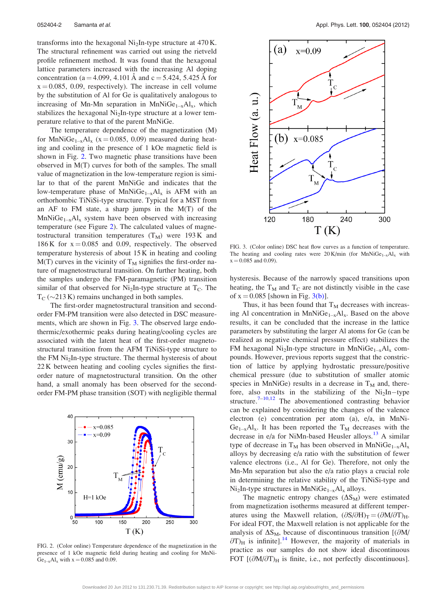<span id="page-5-0"></span>transforms into the hexagonal Ni<sub>2</sub>In-type structure at  $470$  K. The structural refinement was carried out using the rietveld profile refinement method. It was found that the hexagonal lattice parameters increased with the increasing Al doping concentration (a = 4.099, 4.101 Å and c = 5.424, 5.425 Å for  $x = 0.085$ , 0.09, respectively). The increase in cell volume by the substitution of Al for Ge is qualitatively analogous to increasing of Mn-Mn separation in  $MnNiGe<sub>1-x</sub>Al<sub>x</sub>$ , which stabilizes the hexagonal  $Ni<sub>2</sub>$ In-type structure at a lower temperature relative to that of the parent MnNiGe.

The temperature dependence of the magnetization (M) for MnNi $Ge_{1-x}Al_x$  (x = 0.085, 0.09) measured during heating and cooling in the presence of 1 kOe magnetic field is shown in Fig. 2. Two magnetic phase transitions have been observed in M(T) curves for both of the samples. The small value of magnetization in the low-temperature region is similar to that of the parent MnNiGe and indicates that the low-temperature phase of  $MnNiGe<sub>1-x</sub>Al<sub>x</sub>$  is AFM with an orthorhombic TiNiSi-type structure. Typical for a MST from an AF to FM state, a sharp jumps in the M(T) of the  $MnNiGe<sub>1-x</sub>Al<sub>x</sub>$  system have been observed with increasing temperature (see Figure 2). The calculated values of magnetostructural transition temperatures  $(T_M)$  were 193K and 186 K for  $x = 0.085$  and 0.09, respectively. The observed temperature hysteresis of about 15 K in heating and cooling  $M(T)$  curves in the vicinity of  $T_M$  signifies the first-order nature of magnetostructural transition. On further heating, both the samples undergo the FM-paramagnetic (PM) transition similar of that observed for  $Ni<sub>2</sub>$ In-type structure at  $T<sub>C</sub>$ . The  $T_{\rm C}$  ( $\sim$ 213 K) remains unchanged in both samples.

The first-order magnetostructural transition and secondorder FM-PM transition were also detected in DSC measurements, which are shown in Fig. 3. The observed large endothermic/exothermic peaks during heating/cooling cycles are associated with the latent heat of the first-order magnetostructural transition from the AFM TiNiSi-type structure to the FM  $Ni<sub>2</sub>$ In-type structure. The thermal hysteresis of about 22 K between heating and cooling cycles signifies the firstorder nature of magnetostructural transition. On the other hand, a small anomaly has been observed for the secondorder FM-PM phase transition (SOT) with negligible thermal



FIG. 2. (Color online) Temperature dependence of the magnetization in the presence of 1 kOe magnetic field during heating and cooling for MnNi- $Ge_{1-x}Al_x$  with  $x = 0.085$  and 0.09.



FIG. 3. (Color online) DSC heat flow curves as a function of temperature. The heating and cooling rates were  $20 \text{ K/min}$  (for MnNiGe<sub>1-x</sub>Al<sub>x</sub> with  $x = 0.085$  and 0.09).

hysteresis. Because of the narrowly spaced transitions upon heating, the  $T_M$  and  $T_C$  are not distinctly visible in the case of  $x = 0.085$  [shown in Fig. 3(b)].

Thus, it has been found that  $T_M$  decreases with increasing Al concentration in  $MnNiGe<sub>1-x</sub>Al<sub>x</sub>$ . Based on the above results, it can be concluded that the increase in the lattice parameters by substituting the larger Al atoms for Ge (can be realized as negative chemical pressure effect) stabilizes the FM hexagonal Ni<sub>2</sub>In-type structure in MnNi $Ge_{1-x}Al_x$  compounds. However, previous reports suggest that the constriction of lattice by applying hydrostatic pressure/positive chemical pressure (due to substitution of smaller atomic species in MnNiGe) results in a decrease in  $T_M$  and, therefore, also results in the stabilizing of the  $Ni<sub>2</sub>$ In-type structure.<sup>[7–10,12](#page-6-0)</sup> The abovementioned contrasting behavior can be explained by considering the changes of the valence electron (e) concentration per atom (a), e/a, in MnNi- $Ge_{1-x}Al_x$ . It has been reported the  $T_M$  decreases with the decrease in e/a for NiMn-based Heusler alloys.<sup>[13](#page-6-0)</sup> A similar type of decrease in  $T_M$  has been observed in MnNiGe<sub>1-x</sub>Al<sub>x</sub> alloys by decreasing e/a ratio with the substitution of fewer valence electrons (i.e., Al for Ge). Therefore, not only the Mn-Mn separation but also the e/a ratio plays a crucial role in determining the relative stability of the TiNiSi-type and  $Ni<sub>2</sub>$ In-type structures in MnNi $Ge<sub>1-x</sub>Al<sub>x</sub>$  alloys.

The magnetic entropy changes  $(\Delta S_M)$  were estimated from magnetization isotherms measured at different temperatures using the Maxwell relation,  $(\partial S/\partial H)_T = (\partial M/\partial T)_H$ . For ideal FOT, the Maxwell relation is not applicable for the analysis of  $\Delta S_M$ , because of discontinuous transition [( $\partial M$ /  $\partial$ T)<sub>H</sub> is infinite].<sup>[14](#page-6-0)</sup> However, the majority of materials in practice as our samples do not show ideal discontinuous FOT  $[(\partial M/\partial T)_H]$  is finite, i.e., not perfectly discontinuous].